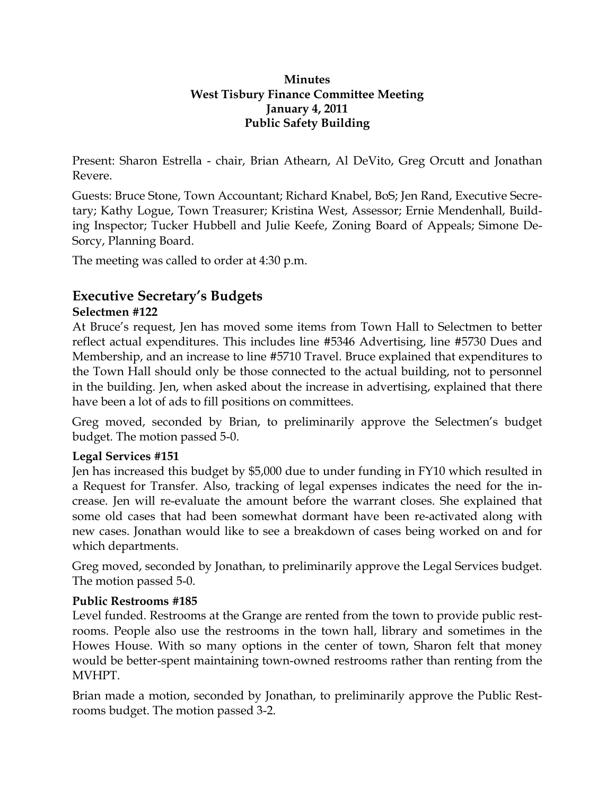## **Minutes West Tisbury Finance Committee Meeting January 4, 2011 Public Safety Building**

Present: Sharon Estrella - chair, Brian Athearn, Al DeVito, Greg Orcutt and Jonathan Revere.

Guests: Bruce Stone, Town Accountant; Richard Knabel, BoS; Jen Rand, Executive Secretary; Kathy Logue, Town Treasurer; Kristina West, Assessor; Ernie Mendenhall, Building Inspector; Tucker Hubbell and Julie Keefe, Zoning Board of Appeals; Simone De-Sorcy, Planning Board.

The meeting was called to order at 4:30 p.m.

# **Executive Secretary's Budgets**

## **Selectmen #122**

At Bruce's request, Jen has moved some items from Town Hall to Selectmen to better reflect actual expenditures. This includes line #5346 Advertising, line #5730 Dues and Membership, and an increase to line #5710 Travel. Bruce explained that expenditures to the Town Hall should only be those connected to the actual building, not to personnel in the building. Jen, when asked about the increase in advertising, explained that there have been a lot of ads to fill positions on committees.

Greg moved, seconded by Brian, to preliminarily approve the Selectmen's budget budget. The motion passed 5-0.

## **Legal Services #151**

Jen has increased this budget by \$5,000 due to under funding in FY10 which resulted in a Request for Transfer. Also, tracking of legal expenses indicates the need for the increase. Jen will re-evaluate the amount before the warrant closes. She explained that some old cases that had been somewhat dormant have been re-activated along with new cases. Jonathan would like to see a breakdown of cases being worked on and for which departments.

Greg moved, seconded by Jonathan, to preliminarily approve the Legal Services budget. The motion passed 5-0.

## **Public Restrooms #185**

Level funded. Restrooms at the Grange are rented from the town to provide public restrooms. People also use the restrooms in the town hall, library and sometimes in the Howes House. With so many options in the center of town, Sharon felt that money would be better-spent maintaining town-owned restrooms rather than renting from the MVHPT.

Brian made a motion, seconded by Jonathan, to preliminarily approve the Public Restrooms budget. The motion passed 3-2.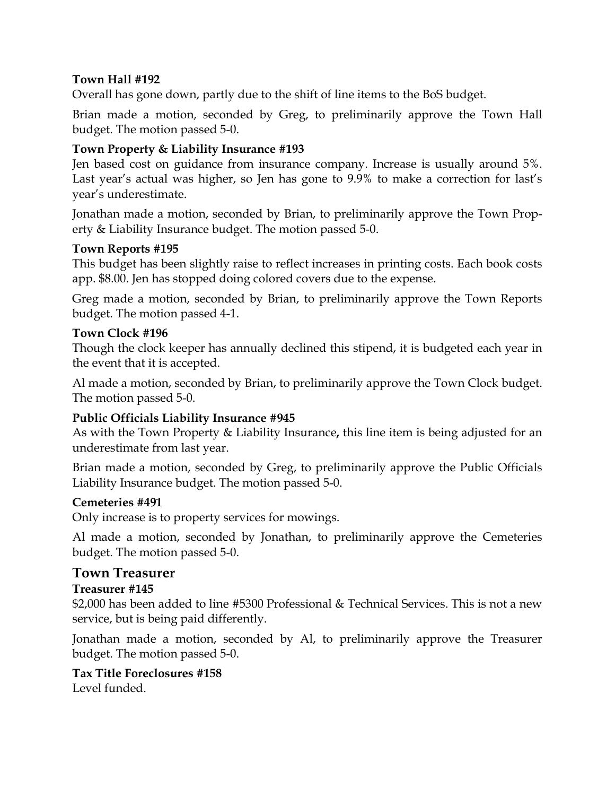## **Town Hall #192**

Overall has gone down, partly due to the shift of line items to the BoS budget.

Brian made a motion, seconded by Greg, to preliminarily approve the Town Hall budget. The motion passed 5-0.

## **Town Property & Liability Insurance #193**

Jen based cost on guidance from insurance company. Increase is usually around 5%. Last year's actual was higher, so Jen has gone to 9.9% to make a correction for last's year's underestimate.

Jonathan made a motion, seconded by Brian, to preliminarily approve the Town Property & Liability Insurance budget. The motion passed 5-0.

### **Town Reports #195**

This budget has been slightly raise to reflect increases in printing costs. Each book costs app. \$8.00. Jen has stopped doing colored covers due to the expense.

Greg made a motion, seconded by Brian, to preliminarily approve the Town Reports budget. The motion passed 4-1.

### **Town Clock #196**

Though the clock keeper has annually declined this stipend, it is budgeted each year in the event that it is accepted.

Al made a motion, seconded by Brian, to preliminarily approve the Town Clock budget. The motion passed 5-0.

### **Public Officials Liability Insurance #945**

As with the Town Property & Liability Insurance**,** this line item is being adjusted for an underestimate from last year.

Brian made a motion, seconded by Greg, to preliminarily approve the Public Officials Liability Insurance budget. The motion passed 5-0.

### **Cemeteries #491**

Only increase is to property services for mowings.

Al made a motion, seconded by Jonathan, to preliminarily approve the Cemeteries budget. The motion passed 5-0.

### **Town Treasurer**

### **Treasurer #145**

\$2,000 has been added to line #5300 Professional & Technical Services. This is not a new service, but is being paid differently.

Jonathan made a motion, seconded by Al, to preliminarily approve the Treasurer budget. The motion passed 5-0.

#### **Tax Title Foreclosures #158**  Level funded.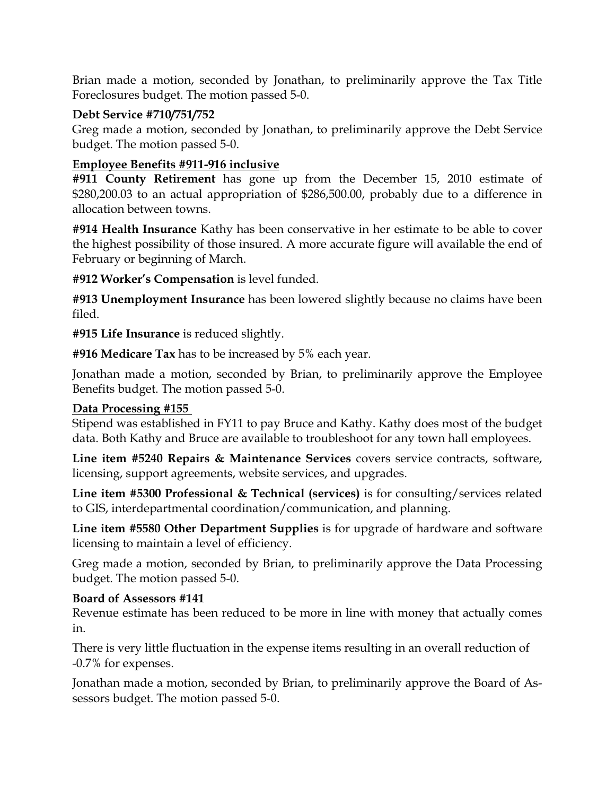Brian made a motion, seconded by Jonathan, to preliminarily approve the Tax Title Foreclosures budget. The motion passed 5-0.

## **Debt Service #710/751/752**

Greg made a motion, seconded by Jonathan, to preliminarily approve the Debt Service budget. The motion passed 5-0.

## **Employee Benefits #911-916 inclusive**

**#911 County Retirement** has gone up from the December 15, 2010 estimate of \$280,200.03 to an actual appropriation of \$286,500.00, probably due to a difference in allocation between towns.

**#914 Health Insurance** Kathy has been conservative in her estimate to be able to cover the highest possibility of those insured. A more accurate figure will available the end of February or beginning of March.

**#912 Worker's Compensation** is level funded.

**#913 Unemployment Insurance** has been lowered slightly because no claims have been filed.

**#915 Life Insurance** is reduced slightly.

**#916 Medicare Tax** has to be increased by 5% each year.

Jonathan made a motion, seconded by Brian, to preliminarily approve the Employee Benefits budget. The motion passed 5-0.

## **Data Processing #155**

Stipend was established in FY11 to pay Bruce and Kathy. Kathy does most of the budget data. Both Kathy and Bruce are available to troubleshoot for any town hall employees.

**Line item #5240 Repairs & Maintenance Services** covers service contracts, software, licensing, support agreements, website services, and upgrades.

Line item #5300 Professional & Technical (services) is for consulting/services related to GIS, interdepartmental coordination/communication, and planning.

**Line item #5580 Other Department Supplies** is for upgrade of hardware and software licensing to maintain a level of efficiency.

Greg made a motion, seconded by Brian, to preliminarily approve the Data Processing budget. The motion passed 5-0.

## **Board of Assessors #141**

Revenue estimate has been reduced to be more in line with money that actually comes in.

There is very little fluctuation in the expense items resulting in an overall reduction of -0.7% for expenses.

Jonathan made a motion, seconded by Brian, to preliminarily approve the Board of Assessors budget. The motion passed 5-0.